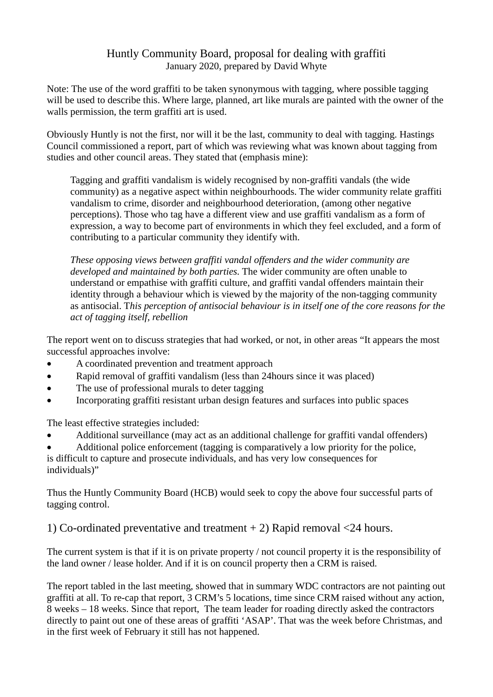## Huntly Community Board, proposal for dealing with graffiti January 2020, prepared by David Whyte

Note: The use of the word graffiti to be taken synonymous with tagging, where possible tagging will be used to describe this. Where large, planned, art like murals are painted with the owner of the walls permission, the term graffiti art is used.

Obviously Huntly is not the first, nor will it be the last, community to deal with tagging. Hastings Council commissioned a report, part of which was reviewing what was known about tagging from studies and other council areas. They stated that (emphasis mine):

Tagging and graffiti vandalism is widely recognised by non-graffiti vandals (the wide community) as a negative aspect within neighbourhoods. The wider community relate graffiti vandalism to crime, disorder and neighbourhood deterioration, (among other negative perceptions). Those who tag have a different view and use graffiti vandalism as a form of expression, a way to become part of environments in which they feel excluded, and a form of contributing to a particular community they identify with.

*These opposing views between graffiti vandal offenders and the wider community are developed and maintained by both parties.* The wider community are often unable to understand or empathise with graffiti culture, and graffiti vandal offenders maintain their identity through a behaviour which is viewed by the majority of the non-tagging community as antisocial. T*his perception of antisocial behaviour is in itself one of the core reasons for the act of tagging itself, rebellion*

The report went on to discuss strategies that had worked, or not, in other areas "It appears the most successful approaches involve:

- A coordinated prevention and treatment approach
- Rapid removal of graffiti vandalism (less than 24 hours since it was placed)
- The use of professional murals to deter tagging
- Incorporating graffiti resistant urban design features and surfaces into public spaces

The least effective strategies included:

• Additional surveillance (may act as an additional challenge for graffiti vandal offenders)

• Additional police enforcement (tagging is comparatively a low priority for the police, is difficult to capture and prosecute individuals, and has very low consequences for individuals)"

Thus the Huntly Community Board (HCB) would seek to copy the above four successful parts of tagging control.

1) Co-ordinated preventative and treatment + 2) Rapid removal <24 hours.

The current system is that if it is on private property / not council property it is the responsibility of the land owner / lease holder. And if it is on council property then a CRM is raised.

The report tabled in the last meeting, showed that in summary WDC contractors are not painting out graffiti at all. To re-cap that report, 3 CRM's 5 locations, time since CRM raised without any action, 8 weeks – 18 weeks. Since that report, The team leader for roading directly asked the contractors directly to paint out one of these areas of graffiti 'ASAP'. That was the week before Christmas, and in the first week of February it still has not happened.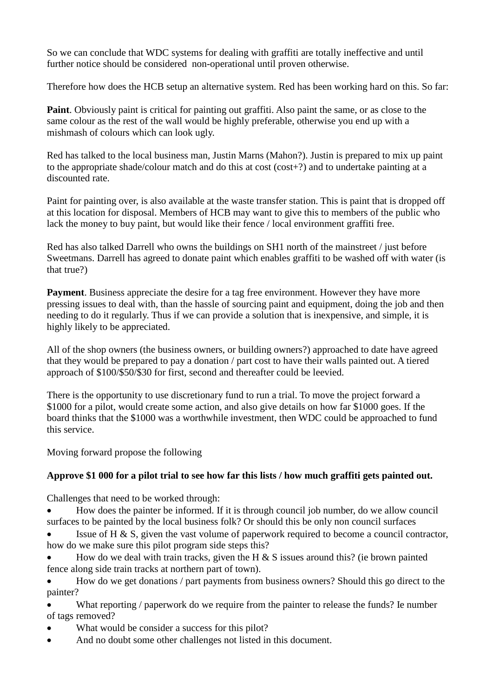So we can conclude that WDC systems for dealing with graffiti are totally ineffective and until further notice should be considered non-operational until proven otherwise.

Therefore how does the HCB setup an alternative system. Red has been working hard on this. So far:

**Paint**. Obviously paint is critical for painting out graffiti. Also paint the same, or as close to the same colour as the rest of the wall would be highly preferable, otherwise you end up with a mishmash of colours which can look ugly.

Red has talked to the local business man, Justin Marns (Mahon?). Justin is prepared to mix up paint to the appropriate shade/colour match and do this at cost (cost+?) and to undertake painting at a discounted rate.

Paint for painting over, is also available at the waste transfer station. This is paint that is dropped off at this location for disposal. Members of HCB may want to give this to members of the public who lack the money to buy paint, but would like their fence / local environment graffiti free.

Red has also talked Darrell who owns the buildings on SH1 north of the mainstreet / just before Sweetmans. Darrell has agreed to donate paint which enables graffiti to be washed off with water (is that true?)

**Payment**. Business appreciate the desire for a tag free environment. However they have more pressing issues to deal with, than the hassle of sourcing paint and equipment, doing the job and then needing to do it regularly. Thus if we can provide a solution that is inexpensive, and simple, it is highly likely to be appreciated.

All of the shop owners (the business owners, or building owners?) approached to date have agreed that they would be prepared to pay a donation / part cost to have their walls painted out. A tiered approach of \$100/\$50/\$30 for first, second and thereafter could be leevied.

There is the opportunity to use discretionary fund to run a trial. To move the project forward a \$1000 for a pilot, would create some action, and also give details on how far \$1000 goes. If the board thinks that the \$1000 was a worthwhile investment, then WDC could be approached to fund this service.

Moving forward propose the following

## **Approve \$1 000 for a pilot trial to see how far this lists / how much graffiti gets painted out.**

Challenges that need to be worked through:

• How does the painter be informed. If it is through council job number, do we allow council surfaces to be painted by the local business folk? Or should this be only non council surfaces

- Issue of H  $\&$  S, given the vast volume of paperwork required to become a council contractor, how do we make sure this pilot program side steps this?
- How do we deal with train tracks, given the H  $\&$  S issues around this? (ie brown painted fence along side train tracks at northern part of town).

• How do we get donations / part payments from business owners? Should this go direct to the painter?

What reporting / paperwork do we require from the painter to release the funds? Ie number of tags removed?

- What would be consider a success for this pilot?
- And no doubt some other challenges not listed in this document.